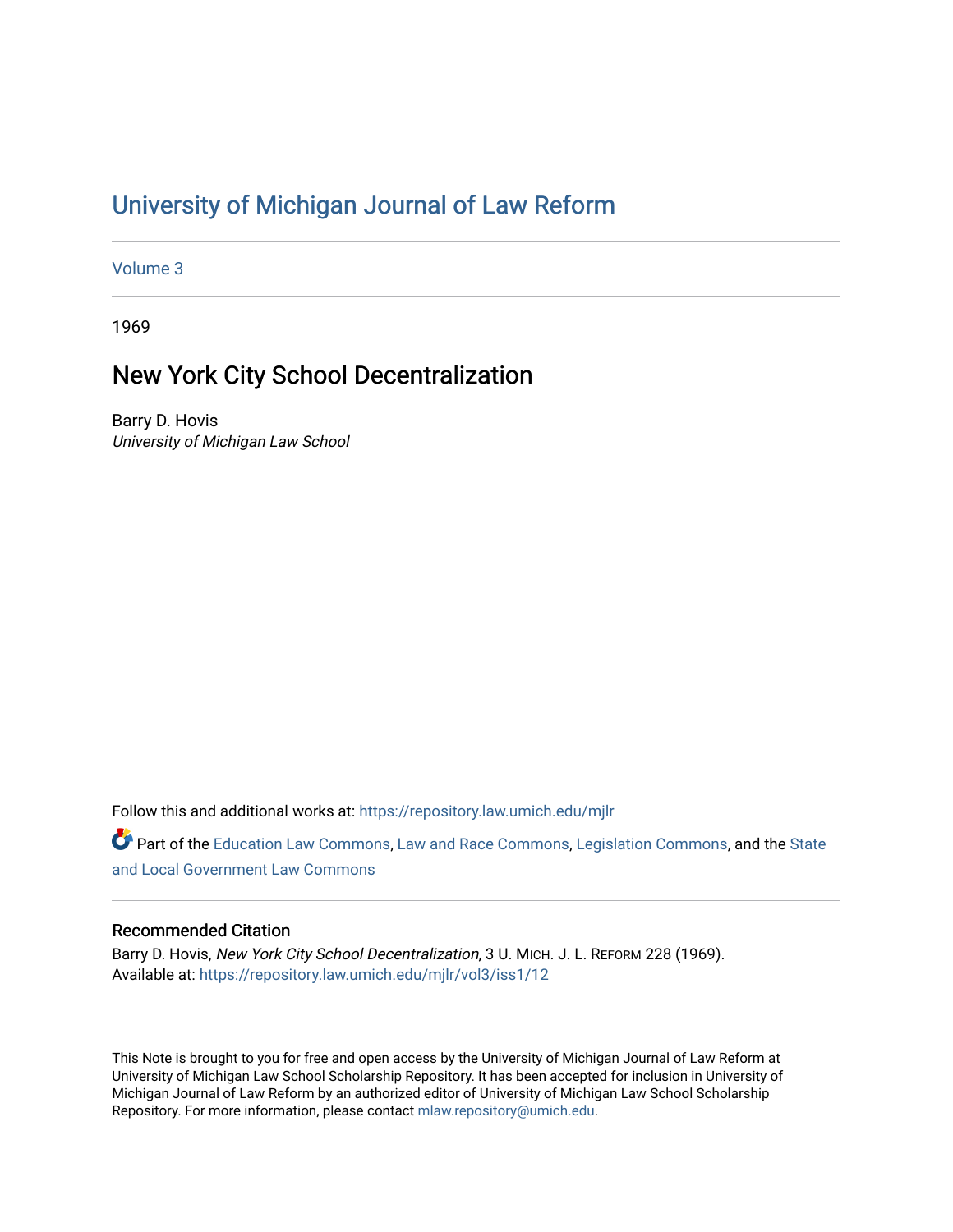# [University of Michigan Journal of Law Reform](https://repository.law.umich.edu/mjlr)

[Volume 3](https://repository.law.umich.edu/mjlr/vol3)

1969

# New York City School Decentralization

Barry D. Hovis University of Michigan Law School

Follow this and additional works at: [https://repository.law.umich.edu/mjlr](https://repository.law.umich.edu/mjlr?utm_source=repository.law.umich.edu%2Fmjlr%2Fvol3%2Fiss1%2F12&utm_medium=PDF&utm_campaign=PDFCoverPages) 

Part of the [Education Law Commons,](http://network.bepress.com/hgg/discipline/596?utm_source=repository.law.umich.edu%2Fmjlr%2Fvol3%2Fiss1%2F12&utm_medium=PDF&utm_campaign=PDFCoverPages) [Law and Race Commons](http://network.bepress.com/hgg/discipline/1300?utm_source=repository.law.umich.edu%2Fmjlr%2Fvol3%2Fiss1%2F12&utm_medium=PDF&utm_campaign=PDFCoverPages), [Legislation Commons,](http://network.bepress.com/hgg/discipline/859?utm_source=repository.law.umich.edu%2Fmjlr%2Fvol3%2Fiss1%2F12&utm_medium=PDF&utm_campaign=PDFCoverPages) and the State [and Local Government Law Commons](http://network.bepress.com/hgg/discipline/879?utm_source=repository.law.umich.edu%2Fmjlr%2Fvol3%2Fiss1%2F12&utm_medium=PDF&utm_campaign=PDFCoverPages)

# Recommended Citation

Barry D. Hovis, New York City School Decentralization, 3 U. MICH. J. L. REFORM 228 (1969). Available at: [https://repository.law.umich.edu/mjlr/vol3/iss1/12](https://repository.law.umich.edu/mjlr/vol3/iss1/12?utm_source=repository.law.umich.edu%2Fmjlr%2Fvol3%2Fiss1%2F12&utm_medium=PDF&utm_campaign=PDFCoverPages) 

This Note is brought to you for free and open access by the University of Michigan Journal of Law Reform at University of Michigan Law School Scholarship Repository. It has been accepted for inclusion in University of Michigan Journal of Law Reform by an authorized editor of University of Michigan Law School Scholarship Repository. For more information, please contact [mlaw.repository@umich.edu](mailto:mlaw.repository@umich.edu).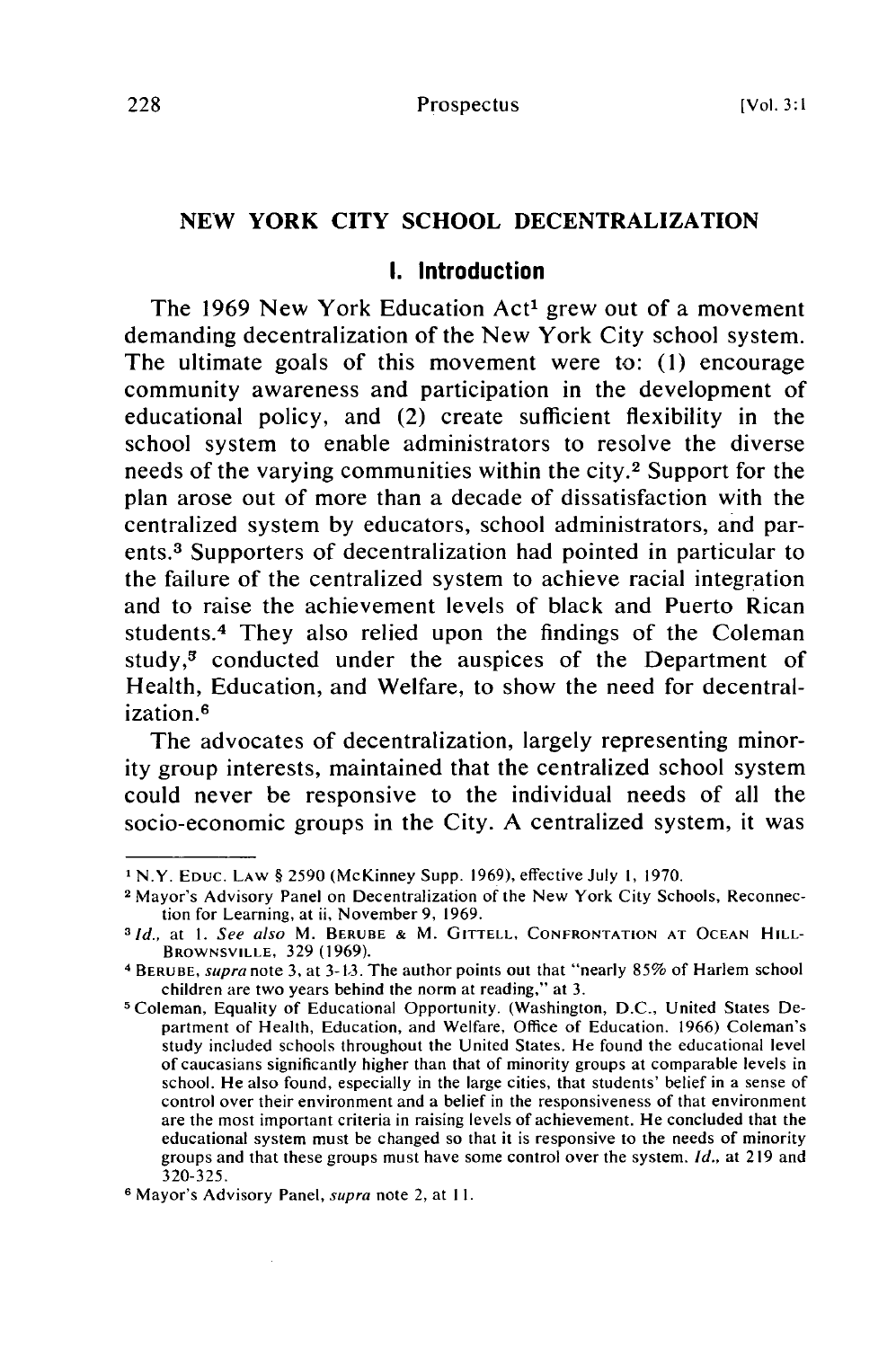# **NEW** YORK CITY **SCHOOL** DECENTRALIZATION

#### **I.** Introduction

The **1969** New York Education Act' grew out of a movement demanding decentralization of the New York City school system. The ultimate goals of this movement were to: **(1)** encourage community awareness and participation in the development of educational policy, and (2) create sufficient flexibility in the school system to enable administrators to resolve the diverse needs of the varying communities within the city.<sup>2</sup> Support for the plan arose out of more than a decade of dissatisfaction with the centralized system **by** educators, school administrators, and parents. 3 Supporters of decentralization had pointed in particular to the failure of the centralized system to achieve racial integration and to raise the achievement levels of black and Puerto Rican students.<sup>4</sup> They also relied upon the findings of the Coleman study, $3$  conducted under the auspices of the Department of Health, Education, and Welfare, to show the need for decentralization.<sup>6</sup>

The advocates of decentralization, largely representing minority group interests, maintained that the centralized school system could never be responsive to the individual needs of all the socio-economic groups in the City. **A** centralized system, it was

**I** N.Y. **EDUC.** LAW **§ 2590** (McKinney Supp. **1969),** effective July **1, 1970.**

**<sup>2</sup>** Mayor's Advisory Panel on Decentralization of the New York City Schools, Reconnection for Learning, at ii, November **9, 1969. 31d.,** at **I.** See also M. **BERUBE &** M. **GITTELL, CONFRONTATION AT OCEAN HILL-**

**BROWNSVILLE, 329 (1969).**

**<sup>4</sup> BERUBE,** supra **note 3,** at **3-13.** The author points out that "nearly **85%** of Harlem school children are two years behind the norm at reading," at **3.**

**<sup>5</sup>** Coleman, Equality of Educational Opportunity. (Washington, **D.C.,** United States Department of Health, Education, and Welfare, Office **of** Education. **1966)** Coleman's study included schools throughout the United States. He found the educational level of caucasians significantly higher than that of minority groups at comparable levels in school. He also found, especially in the large cities, that students' belief in a sense of control over their environment and a belief in the responsiveness of that environment are the most important criteria in raising levels of achievement. He concluded that the educational system must be changed so that it is responsive to the needs of minority groups and that these groups must have some control over the system. **Id.,** at **219** and **320-325.**

**<sup>6</sup> Mayor's Advisory Panel,** supra **note** 2, at **1I.**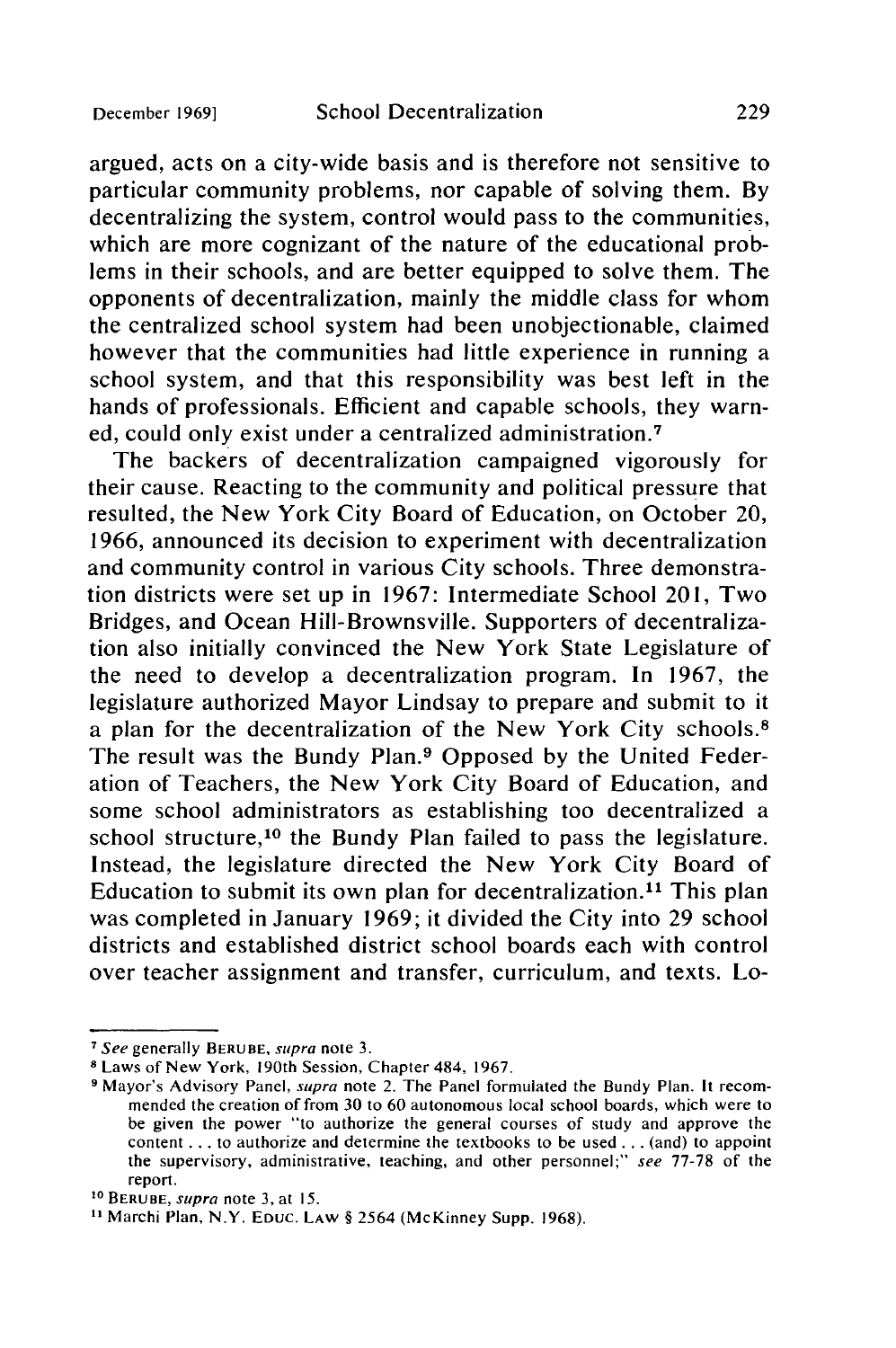argued, acts on a city-wide basis and is therefore not sensitive to particular community problems, nor capable of solving them. By decentralizing the system, control would pass to the communities, which are more cognizant of the nature of the educational problems in their schools, and are better equipped to solve them. The opponents of decentralization, mainly the middle class for whom the centralized school system had been unobjectionable, claimed however that the communities had little experience in running a school system, and that this responsibility was best left in the hands of professionals. Efficient and capable schools, they warned, could only exist under a centralized administration. <sup>7</sup>

The backers of decentralization campaigned vigorously for their cause. Reacting to the community and political pressure that resulted, the New York City Board of Education, on October 20, 1966, announced its decision to experiment with decentralization and community control in various City schools. Three demonstration districts were set up in 1967: Intermediate School 201, Two Bridges, and Ocean Hill-Brownsville. Supporters of decentralization also initially convinced the New York State Legislature of the need to develop a decentralization program. In 1967, the legislature authorized Mayor Lindsay to prepare and submit to it a plan for the decentralization of the New York City schools.8 The result was the Bundy Plan.<sup>9</sup> Opposed by the United Federation of Teachers, the New York City Board of Education, and some school administrators as establishing too decentralized a school structure,<sup>10</sup> the Bundy Plan failed to pass the legislature. Instead, the legislature directed the New York City Board of Education to submit its own plan for decentralization.<sup>11</sup> This plan was completed in January 1969; it divided the City into 29 school districts and established district school boards each with control over teacher assignment and transfer, curriculum, and texts. Lo-

**<sup>7</sup>** See generally **BERUBE,** supra note 3.

**<sup>8</sup>**Laws of New York, 190th Session, Chapter 484, 1967.

**<sup>9</sup>** Mayor's Advisory Panel, supra note 2. The Panel formulated the Bundy Plan. It recommended the creation of from 30 to 60 autonomous local school boards, which were to be given the power "to authorize the general courses of study and approve the content.., to authorize and determine the textbooks to be used **...** (and) to appoint the supervisory, administrative, teaching, and other personnel;" see 77-78 of the report.

**<sup>10</sup>**BERUBE, *supra* note 3, at **15.**

**<sup>1</sup>** Marchi Plan, N.Y. **EDuc. LAW** § 2564 (McKinney Supp. 1968).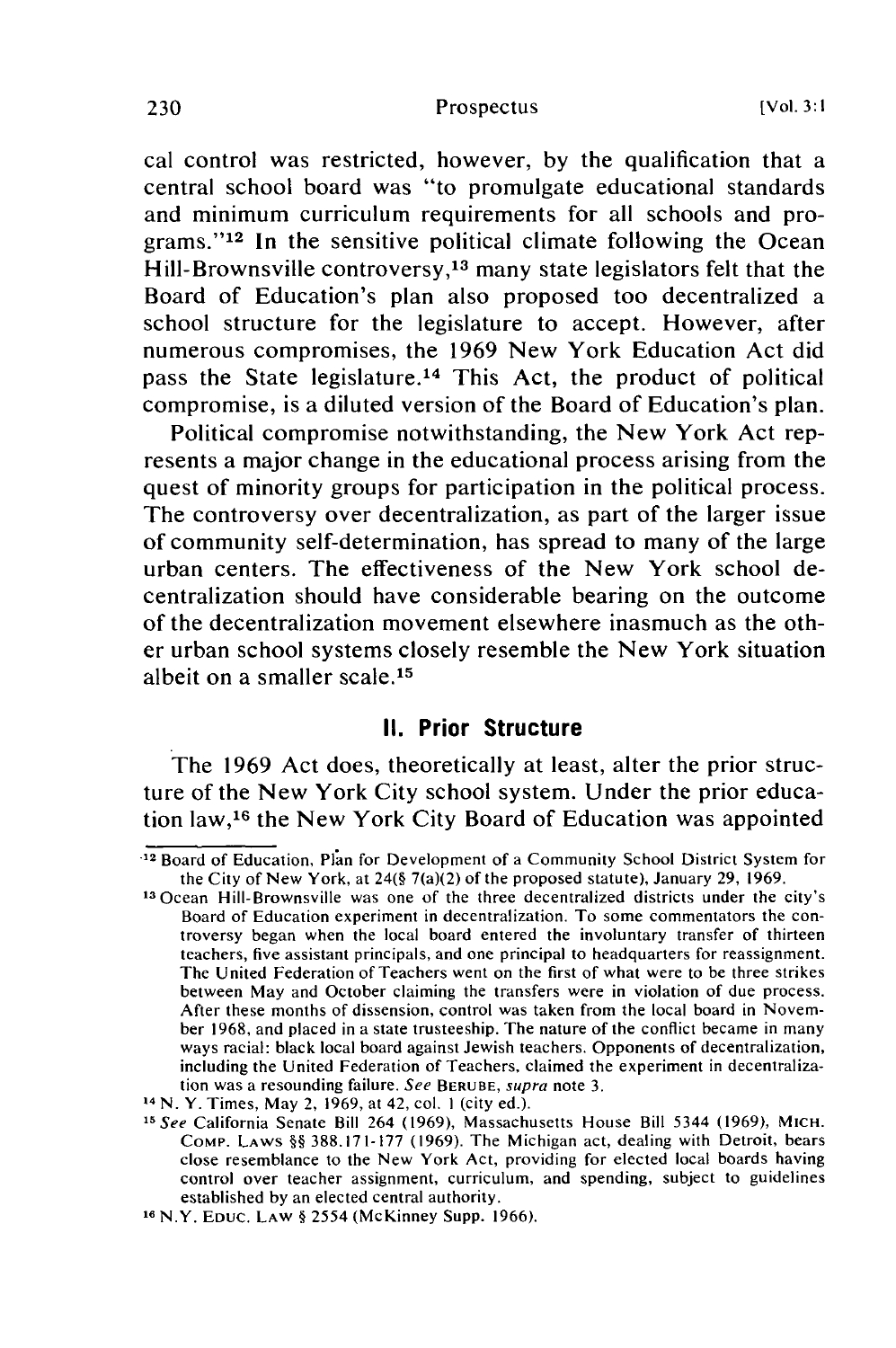#### Prospectus

cal control was restricted, however, by the qualification that a central school board was "to promulgate educational standards and minimum curriculum requirements for all schools and programs." $12$  In the sensitive political climate following the Ocean Hill-Brownsville controversy,13 many state legislators felt that the Board of Education's plan also proposed too decentralized a school structure for the legislature to accept. However, after numerous compromises, the 1969 New York Education Act did pass the State legislature. 14 This Act, the product of political compromise, is a diluted version of the Board of Education's plan.

Political compromise notwithstanding, the New York Act represents a major change in the educational process arising from the quest of minority groups for participation in the political process. The controversy over decentralization, as part of the larger issue of community self-determination, has spread to many of the large urban centers. The effectiveness of the New York school decentralization should have considerable bearing on the outcome of the decentralization movement elsewhere inasmuch as the other urban school systems closely resemble the New York situation albeit on a smaller scale. <sup>15</sup>

### **II. Prior Structure**

The 1969 Act does, theoretically at least, alter the prior structure of the New York City school system. Under the prior education law, 16 the New York City Board of Education was appointed

<sup>•12</sup> Board of Education, Plan for Development of a Community School District System for the City of New York, at 24(§ 7(a)(2) of the proposed statute), January 29, 1969.

<sup>13</sup> Ocean Hill-Brownsville was one of the three decentralized districts under the city's Board of Education experiment in decentralization. To some commentators the controversy began when the local board entered the involuntary transfer of thirteen teachers, five assistant principals, and one principal to headquarters for reassignment. The United Federation of Teachers went on the first of what were to be three strikes between May and October claiming the transfers were in violation of due process. After these months of dissension, control was taken from the local board in November 1968, and placed in a state trusteeship. The nature of the conflict became in many ways racial: black local board against Jewish teachers. Opponents of decentralization, including the United Federation of Teachers, claimed the experiment in decentralization was a resounding failure. See BERUBE, supra note 3.

<sup>&</sup>lt;sup>14</sup> N. Y. Times, May 2, 1969, at 42, col. 1 (city ed.).<br><sup>15</sup> See California Senate Bill 264 (1969), Massachusetts House Bill 5344 (1969), MICH. COMP. LAWS §§ 388.171-177 (1969). The Michigan act, dealing with Detroit, bears close resemblance to the New York Act, providing for elected local boards having control over teacher assignment, curriculum, and spending, subject to guidelines established by an elected central authority.

**<sup>16</sup>** N.Y. EDUC. LAW § 2554 (McKinney Supp. 1966).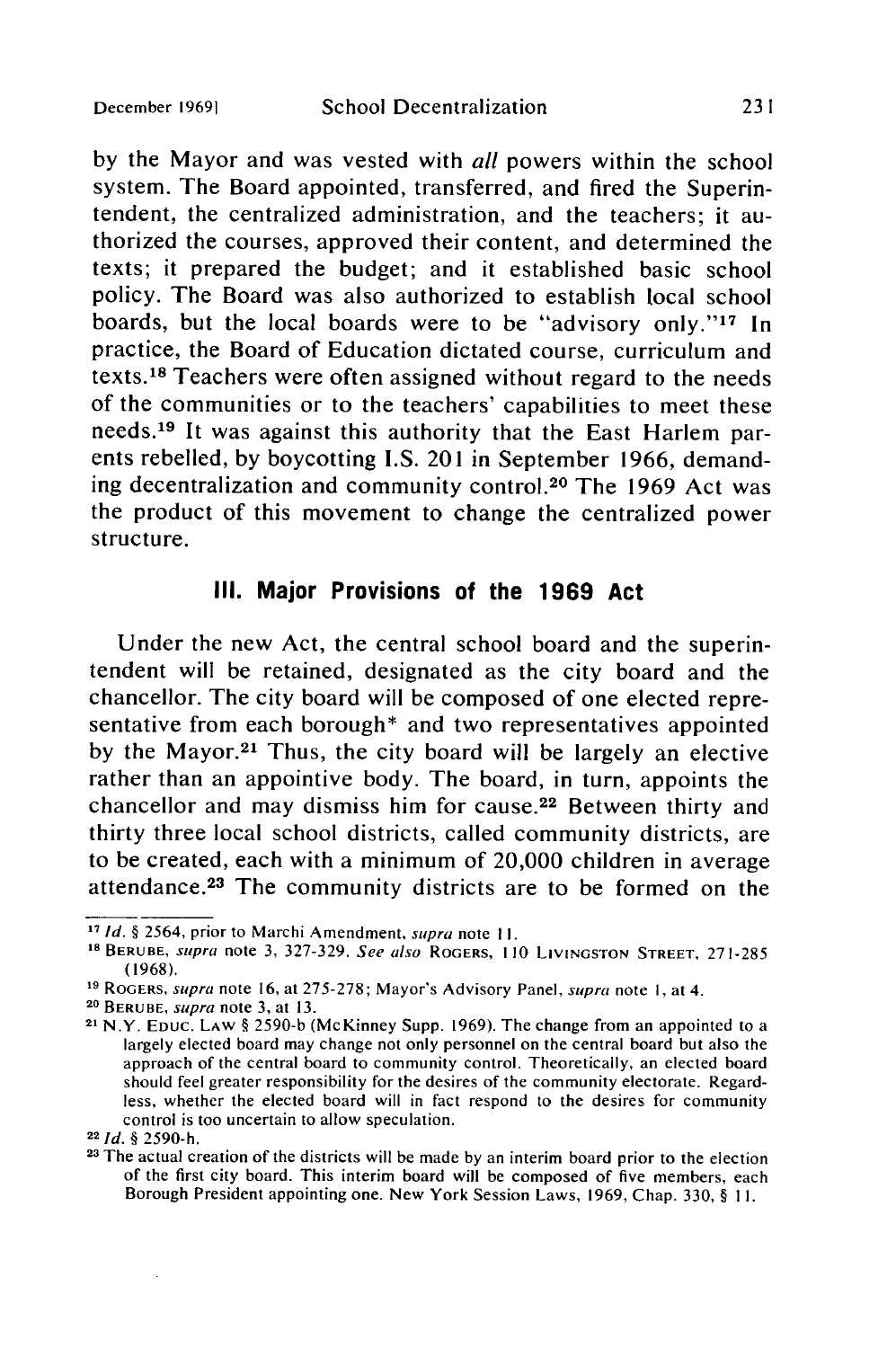**by** the Mayor and was vested with all powers within the school system. The Board appointed, transferred, and fired the Superintendent, the centralized administration, and the teachers; it authorized the courses, approved their content, and determined the texts; it prepared the budget; and it established basic school policy. The Board was also authorized to establish local school boards, but the local boards were to be "advisory only."<sup>17</sup> In practice, the Board of Education dictated course, curriculum and texts.18 Teachers were often assigned without regard to the needs of the communities or to the teachers' capabilities to meet these needs. 19 It was against this authority that the East Harlem parents rebelled, **by** boycotting **I.S.** 201 in September **1966,** demanding decentralization and community control.20 The **1969** Act was the product of this movement to change the centralized power structure.

### **III.** Major Provisions of the **1969** Act

Under the new Act, the central school board and the superintendent will be retained, designated as the city board and the chancellor. The city board will be composed of one elected representative from each borough\* and two representatives appointed by the Mayor.<sup>21</sup> Thus, the city board will be largely an elective rather than an appointive body. The board, in turn, appoints the chancellor and may dismiss him for cause.<sup>22</sup> Between thirty and thirty three local school districts, called community districts, are to be created, each with a minimum of 20,000 children in average attendance. 23 The community districts are to be formed on the

**<sup>22</sup>Id. § 2590-h.**

**<sup>17</sup>Id. §** 2564, prior to Marchi Amendment, supra note **1I.**

**<sup>18</sup>** BERUBE, supra note **3, 327-329.** See also **ROGERS, 110 LIVINGSTON STREET, 271-285 (1968).**

**<sup>19</sup>ROGERS,** supra note **16,** at **275-278;** Mayor's Advisory Panel, supra note **1,** at 4. **20 BERUBE,** supra note **3,** at **13.**

**<sup>21</sup>**N.Y. **EDUC.** LAW **§ 2590-b** (McKinney Supp. **1969).** The change from an appointed to a largely elected board may change not only personnel on the central board but also the approach of the central board to community control. Theoretically, an elected board should feel greater responsibility for the desires of the community electorate. Regardless, whether the elected board will in fact respond to the desires for community control is too uncertain to allow speculation.

**<sup>23</sup>**The actual creation of the districts will be made **by** an interim board prior to the election of the first city board. This interim board will be composed of five members, each Borough President appointing one. New York Session Laws, **1969,** Chap. **330, § II.**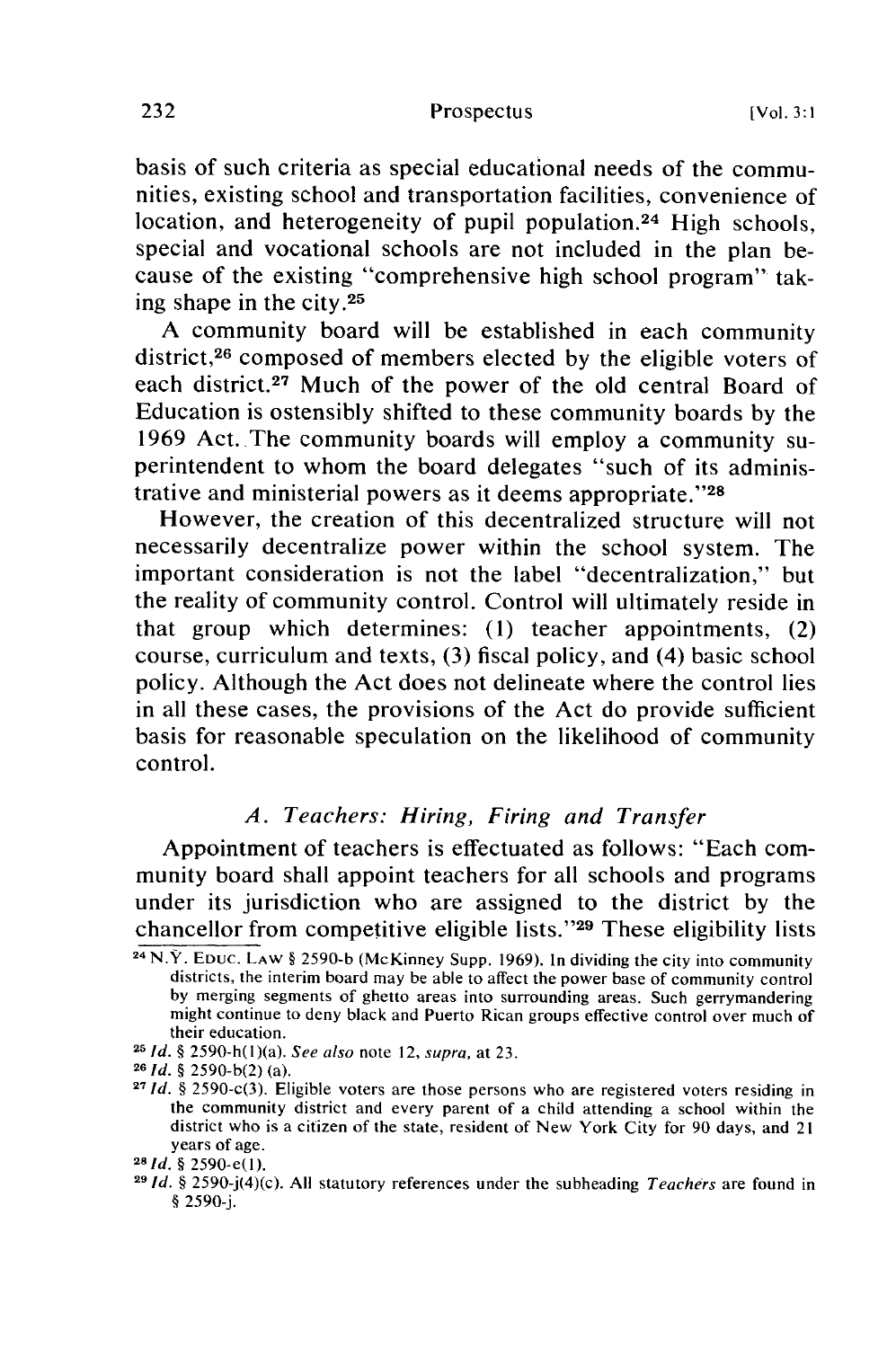basis of such criteria as special educational needs of the communities, existing school and transportation facilities, convenience of location, and heterogeneity of pupil population.<sup>24</sup> High schools, special and vocational schools are not included in the plan because of the existing "comprehensive high school program" taking shape in the city. $25$ 

A community board will be established in each community district,<sup>26</sup> composed of members elected by the eligible voters of each district.<sup>27</sup> Much of the power of the old central Board of Education is ostensibly shifted to these community boards by the 1969 Act. The community boards will employ a community superintendent to whom the board delegates "such of its administrative and ministerial powers as it deems appropriate."<sup>28</sup>

However, the creation of this decentralized structure will not necessarily decentralize power within the school system. The important consideration is not the label "decentralization," but the reality of community control. Control will ultimately reside in that group which determines: (1) teacher appointments, (2) course, curriculum and texts, (3) fiscal policy, and (4) basic school policy. Although the Act does not delineate where the control lies in all these cases, the provisions of the Act do provide sufficient basis for reasonable speculation on the likelihood of community control.

## *A. Teachers: Hiring, Firing and Transfer*

Appointment of teachers is effectuated as follows: "Each community board shall appoint teachers for all schools and programs under its jurisdiction who are assigned to the district by the chancellor from competitive eligible lists."<sup>29</sup> These eligibility lists

**<sup>24</sup>**N.Y. **EDUC.** LAW § 2590-b (McKinney Supp. 1969). In dividing the city into community districts, the interim board may be able to affect the power base of community control by merging segments of ghetto areas into surrounding areas. Such gerrymandering might continue to deny black and Puerto Rican groups effective control over much of their education.

**<sup>25</sup>***Id. §* 2590-h(l)(a). *See also* note 12, supra, at 23.

**<sup>26</sup>***Id. §* 2590-b(2) (a).

**<sup>27</sup>***Id. §* 2590-c(3). Eligible voters are those persons who are registered voters residing in the community district and every parent of a child attending a school within the district who is a citizen of the state, resident of New York City for 90 days, and 21 years of age. *<sup>2</sup> <sup>8</sup> 1 d. §* 2590-e(l).

**<sup>29</sup>***Id.* § 2590-j(4)(c). All statutory references under the subheading Teachers are found in § 2590-j.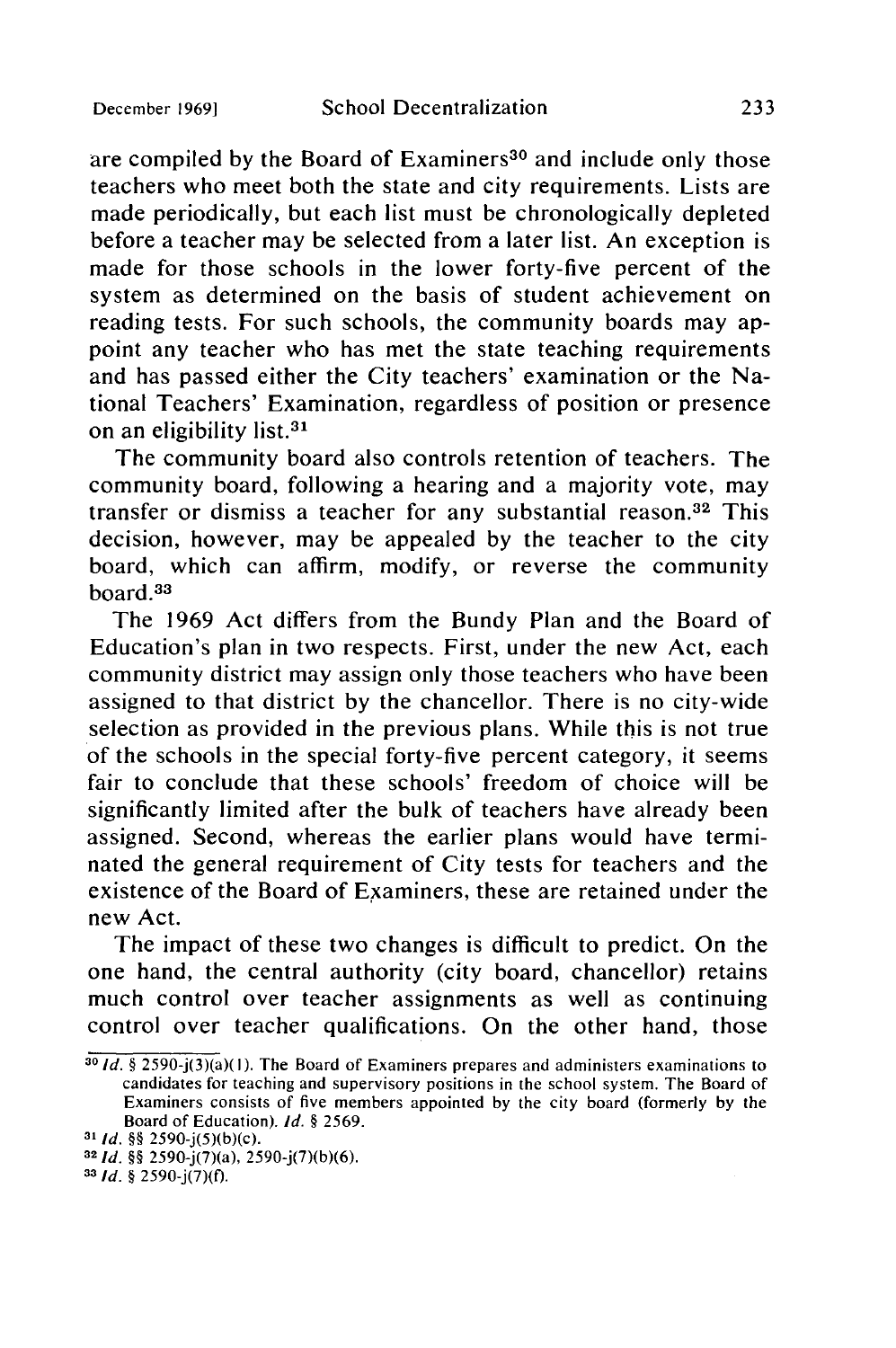are compiled by the Board of Examiners<sup>30</sup> and include only those teachers who meet both the state and city requirements. Lists are made periodically, but each list must be chronologically depleted before a teacher may be selected from a later list. An exception is made for those schools in the lower forty-five percent of the system as determined on the basis of student achievement on reading tests. For such schools, the community boards may appoint any teacher who has met the state teaching requirements and has passed either the City teachers' examination or the National Teachers' Examination, regardless of position or presence on an eligibility list.31

The community board also controls retention of teachers. The community board, following a hearing and a majority vote, may transfer or dismiss a teacher for any substantial reason.<sup>32</sup> This decision, however, may be appealed by the teacher to the city board, which can affirm, modify, or reverse the community board.<sup>33</sup>

The 1969 Act differs from the Bundy Plan and the Board of Education's plan in two respects. First, under the new Act, each community district may assign only those teachers who have been assigned to that district by the chancellor. There is no city-wide selection as provided in the previous plans. While this is not true of the schools in the special forty-five percent category, it seems fair to conclude that these schools' freedom of choice will be significantly limited after the bulk of teachers have already been assigned. Second, whereas the earlier plans would have terminated the general requirement of City tests for teachers and the existence of the Board of Examiners, these are retained under the new Act.

The impact of these two changes is difficult to predict. On the one hand, the central authority (city board, chancellor) retains much control over teacher assignments as well as continuing control over teacher qualifications. On the other hand, those

**<sup>30</sup>Id. §** 2590-j(3)(a)(I). The Board of Examiners prepares and administers examinations to candidates for teaching and supervisory positions in the school system. The Board of Examiners consists of five members appointed by the city board (formerly by the Board of Education). **Id. § 2569.**

*<sup>31</sup>***Id. §§** 2590-j(5)(b)(c).

*<sup>32</sup> Id. §§* 2590-j(7)(a), 2590-j(7)(b)(6).

*<sup>33</sup>* **Id. §** 2590-j(7)(f).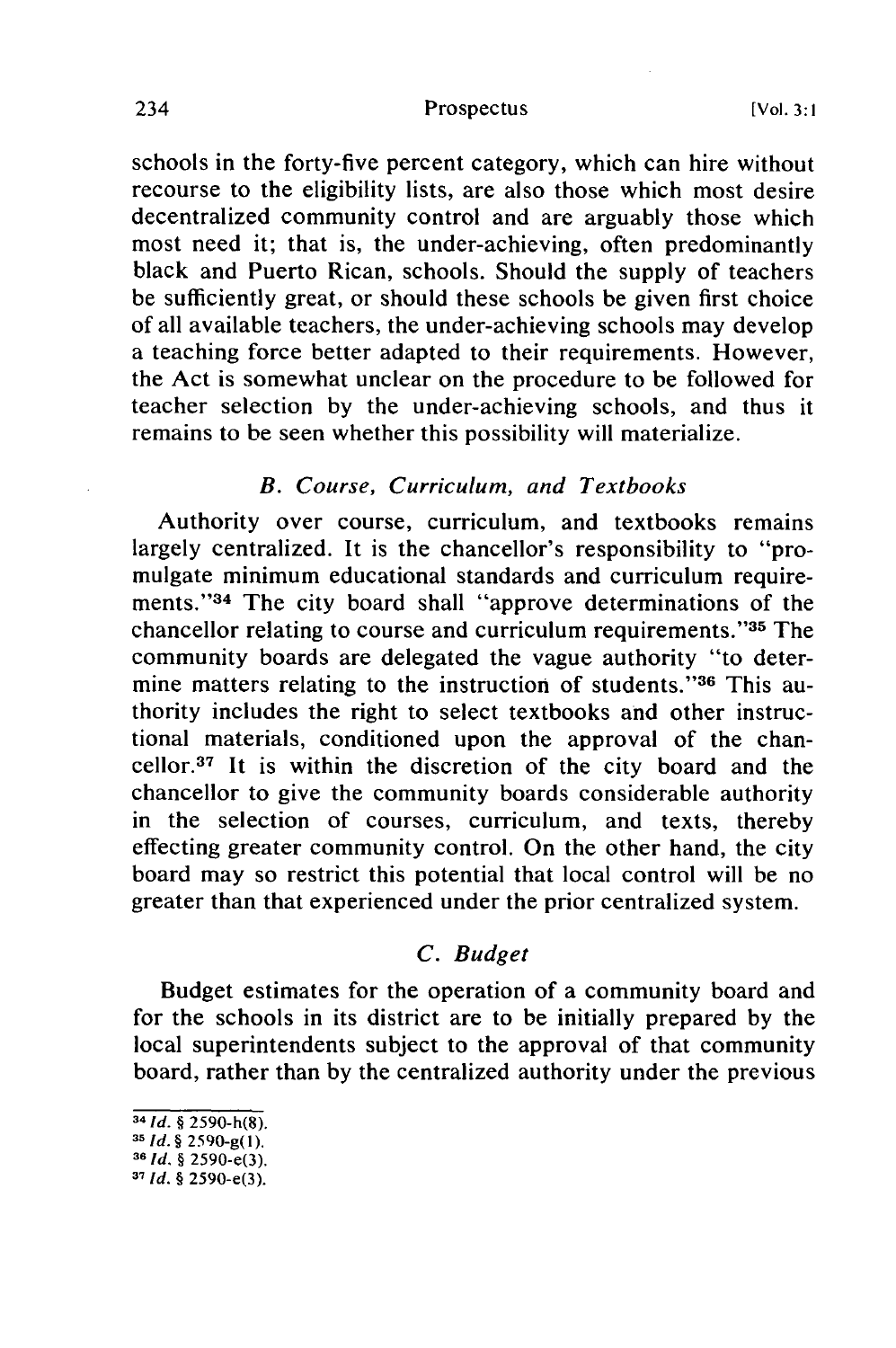#### Prospectus

schools in the forty-five percent category, which can hire without recourse to the eligibility lists, are also those which most desire decentralized community control and are arguably those which most need it; that is, the under-achieving, often predominantly black and Puerto Rican, schools. Should the supply of teachers be sufficiently great, or should these schools be given first choice of all available teachers, the under-achieving schools may develop a teaching force better adapted to their requirements. However, the Act is somewhat unclear on the procedure to be followed for teacher selection by the under-achieving schools, and thus it remains to be seen whether this possibility will materialize.

### *B. Course, Curriculum, and Textbooks*

Authority over course, curriculum, and textbooks remains largely centralized. It is the chancellor's responsibility to "promulgate minimum educational standards and curriculum requirements."<sup>34</sup> The city board shall "approve determinations of the chancellor relating to course and curriculum requirements."<sup>35</sup> The community boards are delegated the vague authority "to determine matters relating to the instruction of students."<sup>36</sup> This authority includes the right to select textbooks and other instructional materials, conditioned upon the approval of the chancellor. 37 It is within the discretion of the city board and the chancellor to give the community boards considerable authority in the selection of courses, curriculum, and texts, thereby effecting greater community control. On the other hand, the city board may so restrict this potential that local control will be no greater than that experienced under the prior centralized system.

## *C. Budget*

Budget estimates for the operation of a community board and for the schools in its district are to be initially prepared by the local superintendents subject to the approval of that community board, rather than by the centralized authority under the previous

<sup>34</sup>*Id. §* 2590-h(8). *<sup>35</sup>***Id.** *§* 2590-g(I).

**<sup>36</sup>***Id. §* 2590-e(3).

**<sup>37</sup>** *Id. §* 2590-e(3).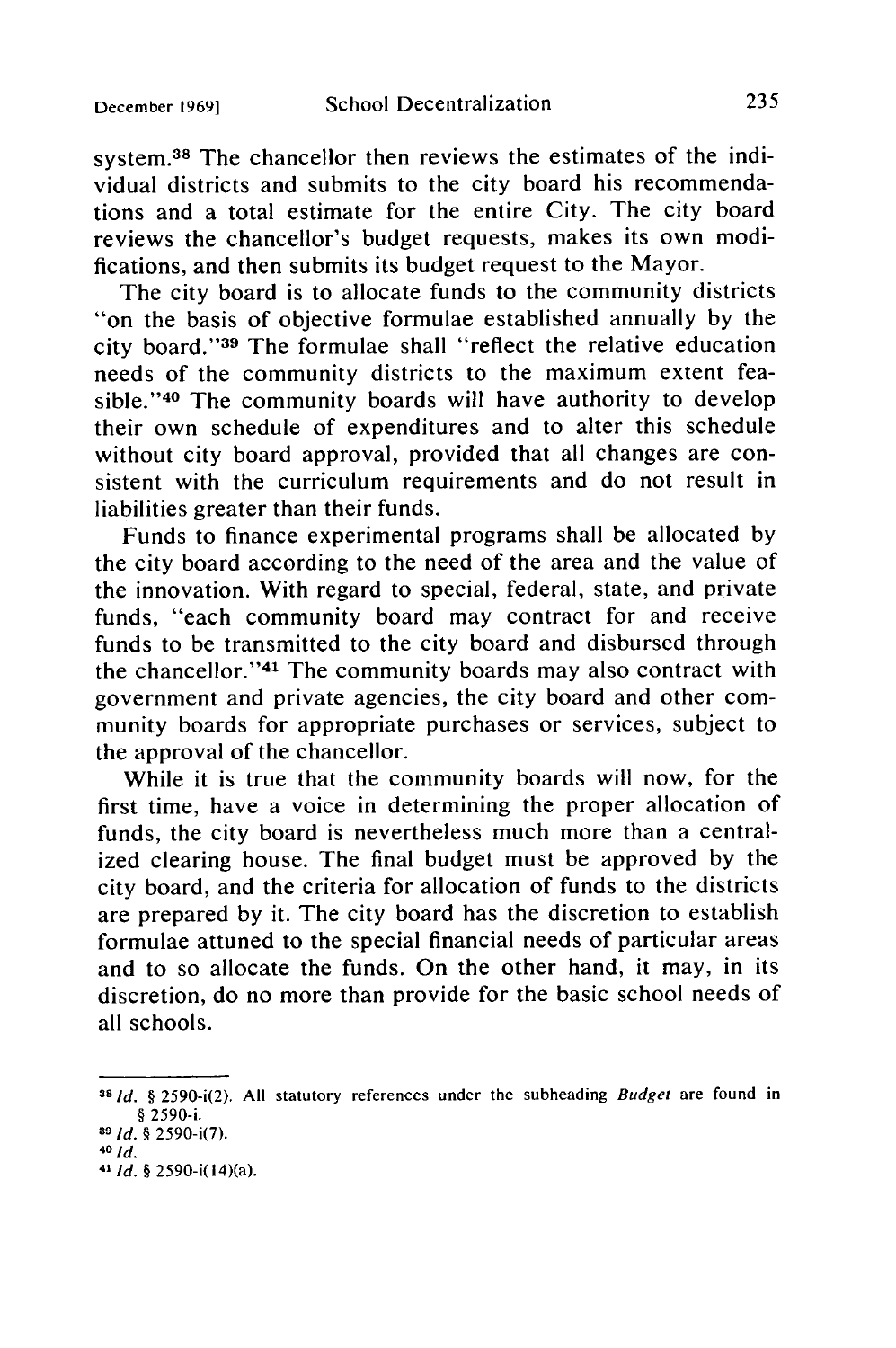system.<sup>38</sup> The chancellor then reviews the estimates of the individual districts and submits to the city board his recommendations and a total estimate for the entire City. The city board reviews the chancellor's budget requests, makes its own modifications, and then submits its budget request to the Mayor.

The city board is to allocate funds to the community districts "on the basis of objective formulae established annually by the city board."<sup>39</sup> The formulae shall "reflect the relative education needs of the community districts to the maximum extent feasible."<sup>40</sup> The community boards will have authority to develop their own schedule of expenditures and to alter this schedule without city board approval, provided that all changes are consistent with the curriculum requirements and do not result in liabilities greater than their funds.

Funds to finance experimental programs shall be allocated by the city board according to the need of the area and the value of the innovation. With regard to special, federal, state, and private funds, "each community board may contract for and receive funds to be transmitted to the city board and disbursed through the chancellor."<sup>41</sup> The community boards may also contract with government and private agencies, the city board and other community boards for appropriate purchases or services, subject to the approval of the chancellor.

While it is true that the community boards will now, for the first time, have a voice in determining the proper allocation of funds, the city board is nevertheless much more than a centralized clearing house. The final budget must be approved by the city board, and the criteria for allocation of funds to the districts are prepared by it. The city board has the discretion to establish formulae attuned to the special financial needs of particular areas and to so allocate the funds. On the other hand, it may, in its discretion, do no more than provide for the basic school needs of all schools.

**<sup>38</sup>Id.** § 2590-i(2). All statutory references under the subheading Budget are found in **§** 2590-i.

**<sup>39</sup>Id.** § 2590-i(7). **<sup>40</sup>Id.**

<sup>41</sup> **Id. §** 2590-i(14)(a).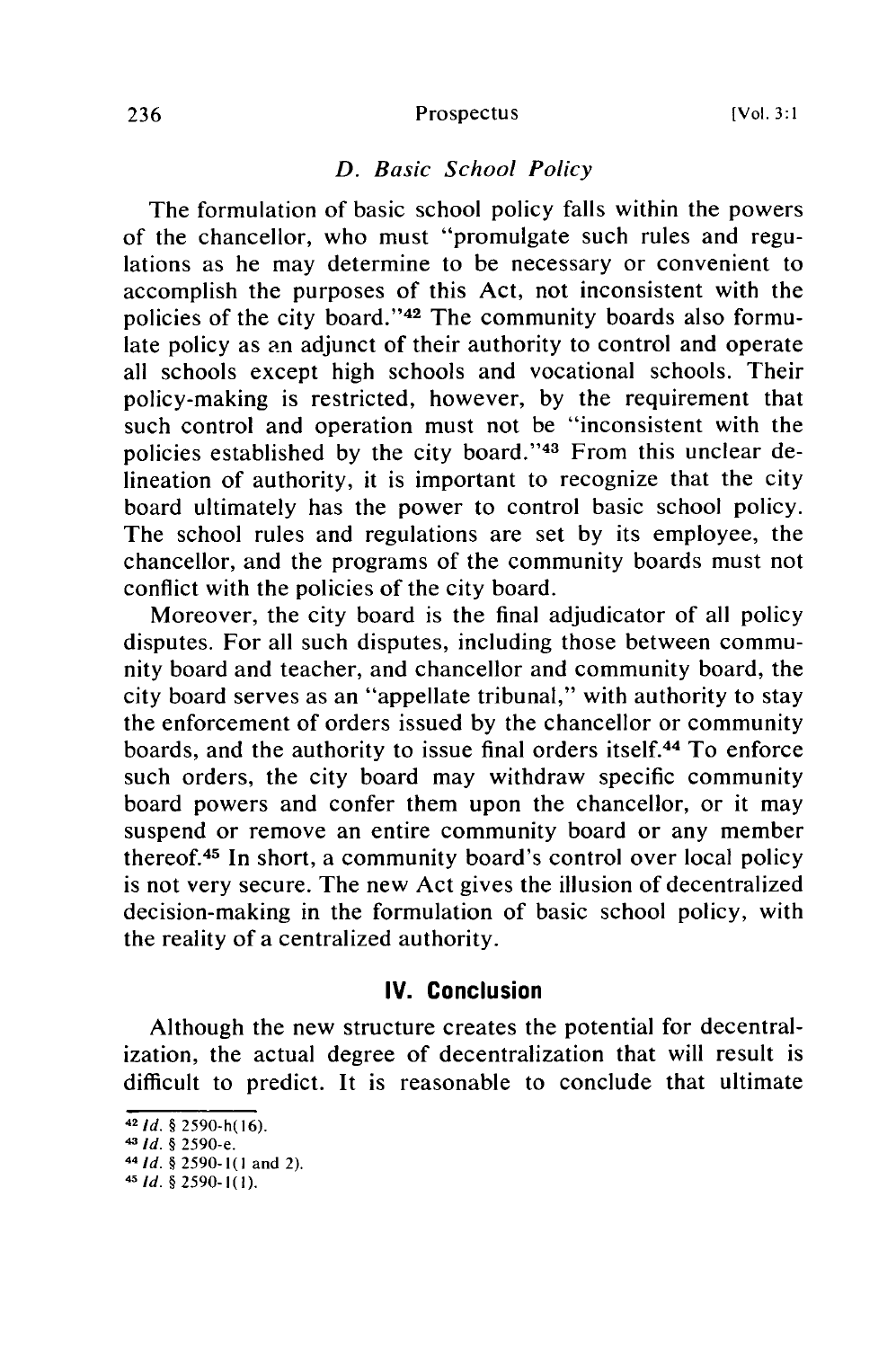#### Prospectus

## *D. Basic School Policy*

The formulation of basic school policy falls within the powers of the chancellor, who must "promulgate such rules and regulations as he may determine to be necessary or convenient to accomplish the purposes of this Act, not inconsistent with the policies of the city board."<sup>42</sup> The community boards also formulate policy as an adjunct of their authority to control and operate all schools except high schools and vocational schools. Their policy-making is restricted, however, by the requirement that such control and operation must not be "inconsistent with the policies established by the city board."<sup>43</sup> From this unclear delineation of authority, it is important to recognize that the city board ultimately has the power to control basic school policy. The school rules and regulations are set by its employee, the chancellor, and the programs of the community boards must not conflict with the policies of the city board.

Moreover, the city board is the final adjudicator of all policy disputes. For all such disputes, including those between community board and teacher, and chancellor and community board, the city board serves as an "appellate tribunal," with authority to stay the enforcement of orders issued by the chancellor or community boards, and the authority to issue final orders itself.44 To enforce such orders, the city board may withdraw specific community board powers and confer them upon the chancellor, or it may suspend or remove an entire community board or any member thereof.45 In short, a community board's control over local policy is not very secure. The new Act gives the illusion of decentralized decision-making in the formulation of basic school policy, with the reality of a centralized authority.

#### **IV. Conclusion**

Although the new structure creates the potential for decentralization, the actual degree of decentralization that will result is difficult to predict. It is reasonable to conclude that ultimate

**<sup>42</sup>**Id. § 2590-h(16).

*<sup>43</sup>*Id. § 2590-e.

*<sup>4</sup>* **Id.** § 2590-1(0 and 2).

*<sup>-</sup>* Id. § 2590-1(1).